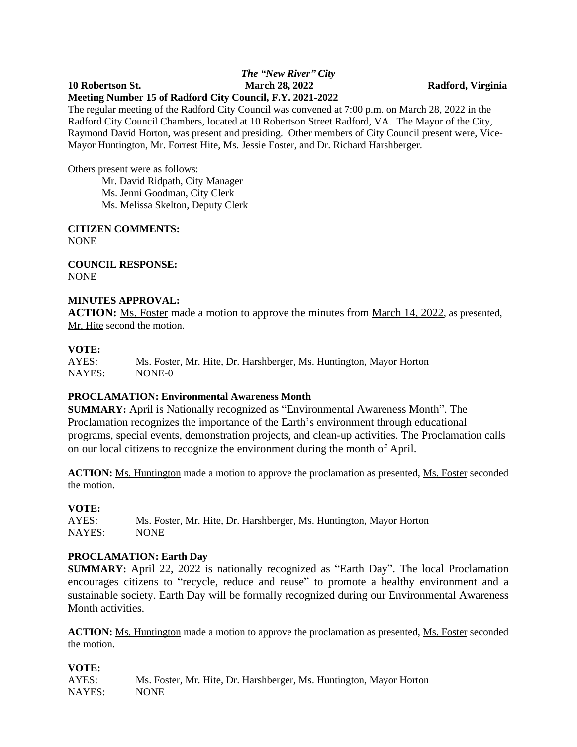## *The "New River" City* **10 Robertson St. March 28, 2022 Radford, Virginia Meeting Number 15 of Radford City Council, F.Y. 2021-2022**

The regular meeting of the Radford City Council was convened at 7:00 p.m. on March 28, 2022 in the Radford City Council Chambers, located at 10 Robertson Street Radford, VA. The Mayor of the City, Raymond David Horton, was present and presiding. Other members of City Council present were, Vice-Mayor Huntington, Mr. Forrest Hite, Ms. Jessie Foster, and Dr. Richard Harshberger.

Others present were as follows:

Mr. David Ridpath, City Manager Ms. Jenni Goodman, City Clerk Ms. Melissa Skelton, Deputy Clerk

**CITIZEN COMMENTS:** NONE

**COUNCIL RESPONSE:** NONE

## **MINUTES APPROVAL:**

**ACTION:** Ms. Foster made a motion to approve the minutes from March 14, 2022, as presented, Mr. Hite second the motion.

## **VOTE:**

AYES: Ms. Foster, Mr. Hite, Dr. Harshberger, Ms. Huntington, Mayor Horton NAYES: NONE-0

# **PROCLAMATION: Environmental Awareness Month**

**SUMMARY:** April is Nationally recognized as "Environmental Awareness Month". The Proclamation recognizes the importance of the Earth's environment through educational programs, special events, demonstration projects, and clean-up activities. The Proclamation calls on our local citizens to recognize the environment during the month of April.

**ACTION:** Ms. Huntington made a motion to approve the proclamation as presented, Ms. Foster seconded the motion.

#### **VOTE:**

AYES: Ms. Foster, Mr. Hite, Dr. Harshberger, Ms. Huntington, Mayor Horton NAYES: NONE

#### **PROCLAMATION: Earth Day**

**SUMMARY:** April 22, 2022 is nationally recognized as "Earth Day". The local Proclamation encourages citizens to "recycle, reduce and reuse" to promote a healthy environment and a sustainable society. Earth Day will be formally recognized during our Environmental Awareness Month activities.

ACTION: Ms. Huntington made a motion to approve the proclamation as presented, Ms. Foster seconded the motion.

**VOTE:** AYES: Ms. Foster, Mr. Hite, Dr. Harshberger, Ms. Huntington, Mayor Horton NAYES: NONE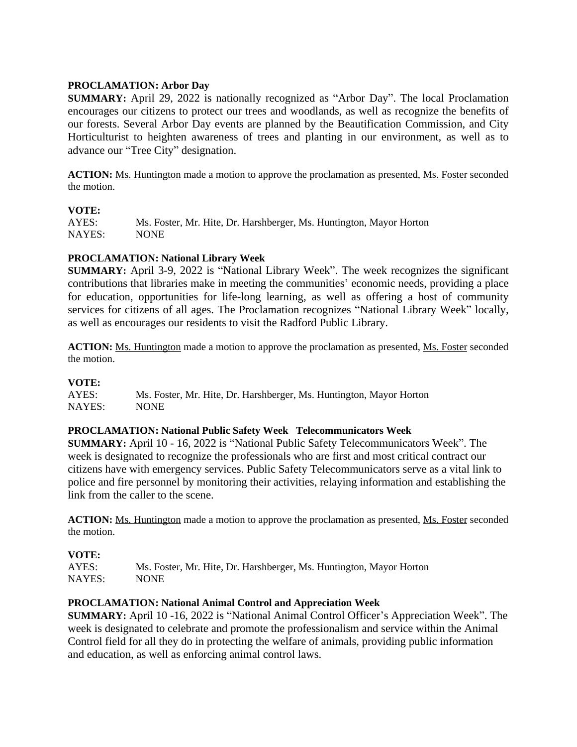# **PROCLAMATION: Arbor Day**

**SUMMARY:** April 29, 2022 is nationally recognized as "Arbor Day". The local Proclamation encourages our citizens to protect our trees and woodlands, as well as recognize the benefits of our forests. Several Arbor Day events are planned by the Beautification Commission, and City Horticulturist to heighten awareness of trees and planting in our environment, as well as to advance our "Tree City" designation.

ACTION: Ms. Huntington made a motion to approve the proclamation as presented, Ms. Foster seconded the motion.

#### **VOTE:**

AYES: Ms. Foster, Mr. Hite, Dr. Harshberger, Ms. Huntington, Mayor Horton NAYES: NONE

## **PROCLAMATION: National Library Week**

**SUMMARY:** April 3-9, 2022 is "National Library Week". The week recognizes the significant contributions that libraries make in meeting the communities' economic needs, providing a place for education, opportunities for life-long learning, as well as offering a host of community services for citizens of all ages. The Proclamation recognizes "National Library Week" locally, as well as encourages our residents to visit the Radford Public Library.

**ACTION:** Ms. Huntington made a motion to approve the proclamation as presented, Ms. Foster seconded the motion.

#### **VOTE:**

AYES: Ms. Foster, Mr. Hite, Dr. Harshberger, Ms. Huntington, Mayor Horton NAYES: NONE

# **PROCLAMATION: National Public Safety Week Telecommunicators Week**

**SUMMARY:** April 10 - 16, 2022 is "National Public Safety Telecommunicators Week". The week is designated to recognize the professionals who are first and most critical contract our citizens have with emergency services. Public Safety Telecommunicators serve as a vital link to police and fire personnel by monitoring their activities, relaying information and establishing the link from the caller to the scene.

**ACTION:** Ms. Huntington made a motion to approve the proclamation as presented, Ms. Foster seconded the motion.

# **VOTE:**

AYES: Ms. Foster, Mr. Hite, Dr. Harshberger, Ms. Huntington, Mayor Horton NAYES: NONE

#### **PROCLAMATION: National Animal Control and Appreciation Week**

**SUMMARY:** April 10 -16, 2022 is "National Animal Control Officer's Appreciation Week". The week is designated to celebrate and promote the professionalism and service within the Animal Control field for all they do in protecting the welfare of animals, providing public information and education, as well as enforcing animal control laws.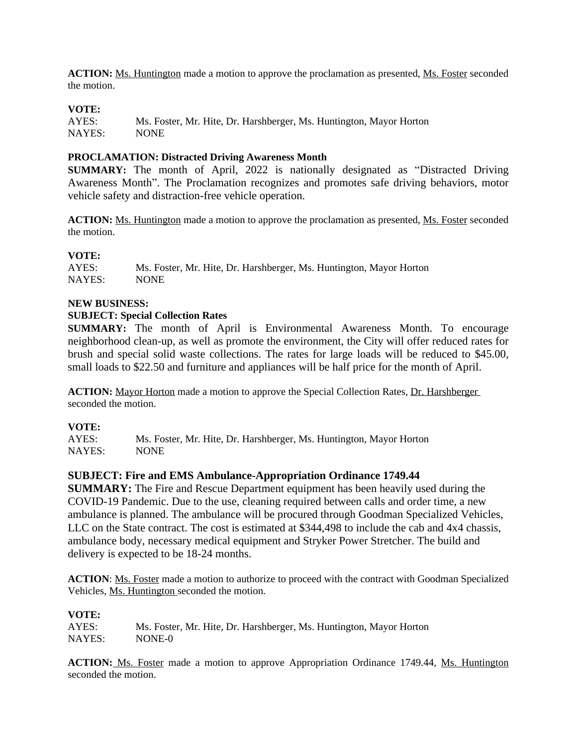**ACTION:** Ms. Huntington made a motion to approve the proclamation as presented, Ms. Foster seconded the motion.

## **VOTE:**

AYES: Ms. Foster, Mr. Hite, Dr. Harshberger, Ms. Huntington, Mayor Horton NAYES: NONE

### **PROCLAMATION: Distracted Driving Awareness Month**

**SUMMARY:** The month of April, 2022 is nationally designated as "Distracted Driving Awareness Month". The Proclamation recognizes and promotes safe driving behaviors, motor vehicle safety and distraction-free vehicle operation.

**ACTION:** Ms. Huntington made a motion to approve the proclamation as presented, Ms. Foster seconded the motion.

#### **VOTE:**

AYES: Ms. Foster, Mr. Hite, Dr. Harshberger, Ms. Huntington, Mayor Horton NAYES: NONE  $NAYES$ 

## **NEW BUSINESS:**

#### **SUBJECT: Special Collection Rates**

**SUMMARY:** The month of April is Environmental Awareness Month. To encourage neighborhood clean-up, as well as promote the environment, the City will offer reduced rates for brush and special solid waste collections. The rates for large loads will be reduced to \$45.00, small loads to \$22.50 and furniture and appliances will be half price for the month of April.

ACTION: Mayor Horton made a motion to approve the Special Collection Rates, Dr. Harshberger seconded the motion.

#### **VOTE:**

AYES: Ms. Foster, Mr. Hite, Dr. Harshberger, Ms. Huntington, Mayor Horton NAYES: NONE

#### **SUBJECT: Fire and EMS Ambulance-Appropriation Ordinance 1749.44**

**SUMMARY:** The Fire and Rescue Department equipment has been heavily used during the COVID-19 Pandemic. Due to the use, cleaning required between calls and order time, a new ambulance is planned. The ambulance will be procured through Goodman Specialized Vehicles, LLC on the State contract. The cost is estimated at \$344,498 to include the cab and 4x4 chassis, ambulance body, necessary medical equipment and Stryker Power Stretcher. The build and delivery is expected to be 18-24 months.

**ACTION**: Ms. Foster made a motion to authorize to proceed with the contract with Goodman Specialized Vehicles, Ms. Huntington seconded the motion.

#### **VOTE:**

AYES: Ms. Foster, Mr. Hite, Dr. Harshberger, Ms. Huntington, Mayor Horton NAYES: NONE-0

**ACTION:** Ms. Foster made a motion to approve Appropriation Ordinance 1749.44, Ms. Huntington seconded the motion.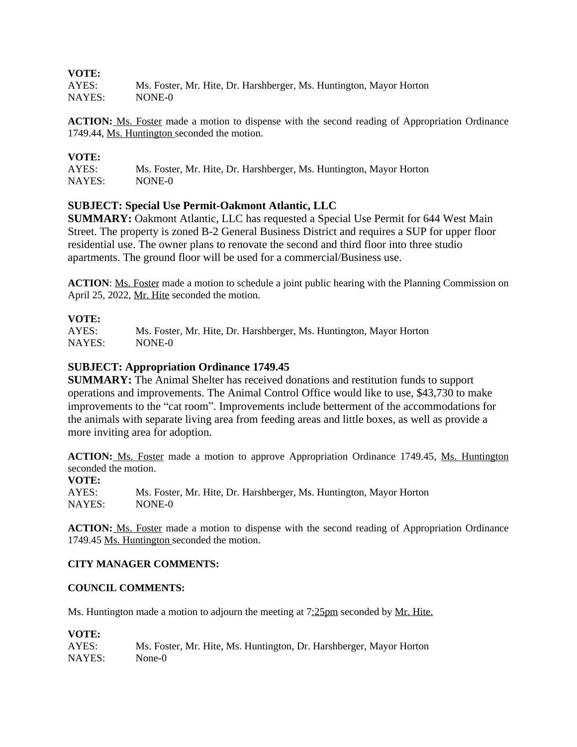#### **VOTE:**

AYES: Ms. Foster, Mr. Hite, Dr. Harshberger, Ms. Huntington, Mayor Horton NAYES: NONE-0

**ACTION:** Ms. Foster made a motion to dispense with the second reading of Appropriation Ordinance 1749.44, Ms. Huntington seconded the motion.

## **VOTE:**

AYES: Ms. Foster, Mr. Hite, Dr. Harshberger, Ms. Huntington, Mayor Horton NAYES: NONE-0

## **SUBJECT: Special Use Permit-Oakmont Atlantic, LLC**

**SUMMARY:** Oakmont Atlantic, LLC has requested a Special Use Permit for 644 West Main Street. The property is zoned B-2 General Business District and requires a SUP for upper floor residential use. The owner plans to renovate the second and third floor into three studio apartments. The ground floor will be used for a commercial/Business use.

**ACTION**: Ms. Foster made a motion to schedule a joint public hearing with the Planning Commission on April 25, 2022, Mr. Hite seconded the motion.

## **VOTE:**

AYES: Ms. Foster, Mr. Hite, Dr. Harshberger, Ms. Huntington, Mayor Horton NAYES: NONE-0

## **SUBJECT: Appropriation Ordinance 1749.45**

**SUMMARY:** The Animal Shelter has received donations and restitution funds to support operations and improvements. The Animal Control Office would like to use, \$43,730 to make improvements to the "cat room". Improvements include betterment of the accommodations for the animals with separate living area from feeding areas and little boxes, as well as provide a more inviting area for adoption.

**ACTION:** Ms. Foster made a motion to approve Appropriation Ordinance 1749.45, Ms. Huntington seconded the motion.

**VOTE:** AYES: Ms. Foster, Mr. Hite, Dr. Harshberger, Ms. Huntington, Mayor Horton NAYES: NONE-0

ACTION: Ms. Foster made a motion to dispense with the second reading of Appropriation Ordinance 1749.45 Ms. Huntington seconded the motion.

#### **CITY MANAGER COMMENTS:**

#### **COUNCIL COMMENTS:**

Ms. Huntington made a motion to adjourn the meeting at 7:25pm seconded by Mr. Hite.

#### **VOTE:**

| AYES:  | Ms. Foster, Mr. Hite, Ms. Huntington, Dr. Harshberger, Mayor Horton |
|--------|---------------------------------------------------------------------|
| NAYES: | None-0                                                              |